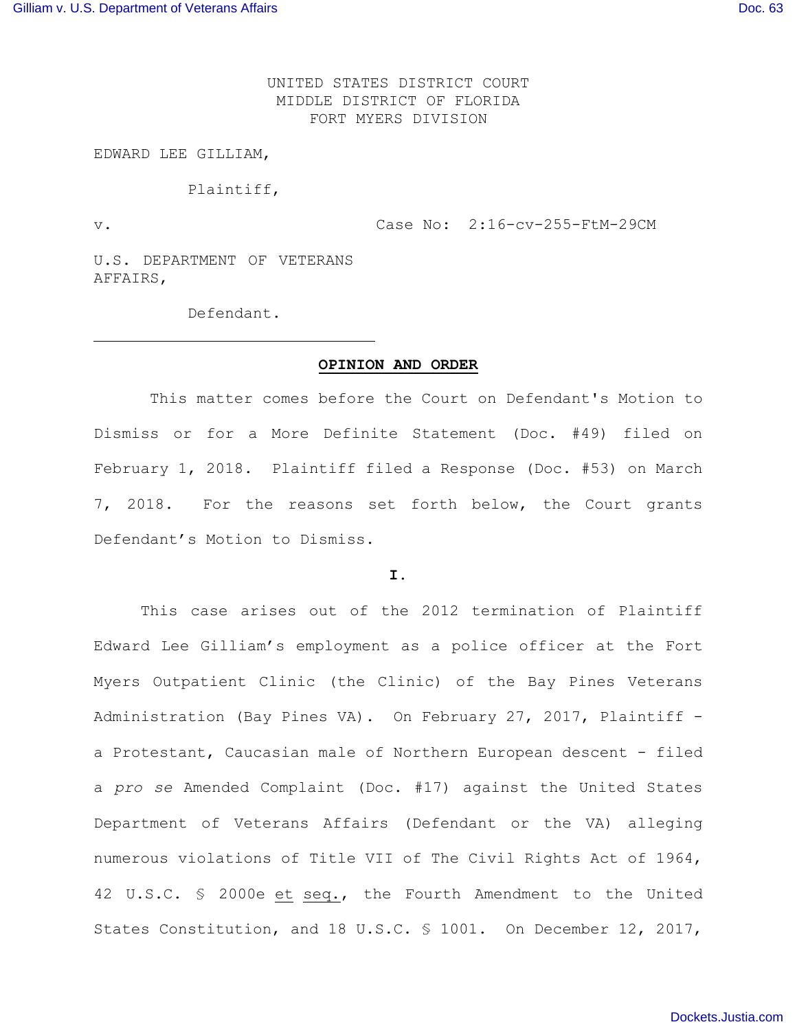UNITED STATES DISTRICT COURT MIDDLE DISTRICT OF FLORIDA FORT MYERS DIVISION

EDWARD LEE GILLIAM,

Plaintiff,

v. Case No: 2:16-cv-255-FtM-29CM

U.S. DEPARTMENT OF VETERANS AFFAIRS,

Defendant.

### **OPINION AND ORDER**

This matter comes before the Court on Defendant's Motion to Dismiss or for a More Definite Statement (Doc. #49) filed on February 1, 2018. Plaintiff filed a Response (Doc. #53) on March 7, 2018. For the reasons set forth below, the Court grants Defendant's Motion to Dismiss.

#### **I.**

This case arises out of the 2012 termination of Plaintiff Edward Lee Gilliam's employment as a police officer at the Fort Myers Outpatient Clinic (the Clinic) of the Bay Pines Veterans Administration (Bay Pines VA). On February 27, 2017, Plaintiff a Protestant, Caucasian male of Northern European descent - filed a *pro se* Amended Complaint (Doc. #17) against the United States Department of Veterans Affairs (Defendant or the VA) alleging numerous violations of Title VII of The Civil Rights Act of 1964, 42 U.S.C. § 2000e et seq., the Fourth Amendment to the United States Constitution, and 18 U.S.C. § 1001. On December 12, 2017,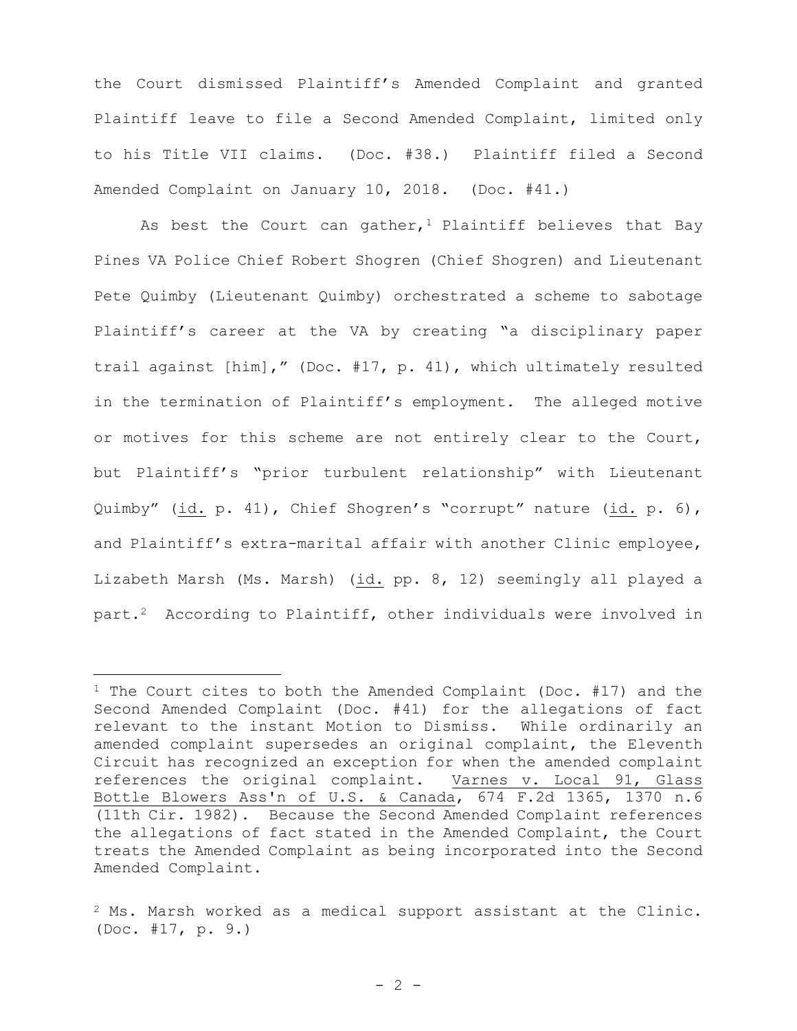the Court dismissed Plaintiff's Amended Complaint and granted Plaintiff leave to file a Second Amended Complaint, limited only to his Title VII claims. (Doc. #38.) Plaintiff filed a Second Amended Complaint on January 10, 2018. (Doc. #41.)

As best the Court can gather,<sup>1</sup> Plaintiff believes that Bay Pines VA Police Chief Robert Shogren (Chief Shogren) and Lieutenant Pete Quimby (Lieutenant Quimby) orchestrated a scheme to sabotage Plaintiff's career at the VA by creating "a disciplinary paper trail against [him]," (Doc. #17, p. 41), which ultimately resulted in the termination of Plaintiff's employment. The alleged motive or motives for this scheme are not entirely clear to the Court, but Plaintiff's "prior turbulent relationship" with Lieutenant Quimby" (id. p. 41), Chief Shogren's "corrupt" nature (id. p. 6), and Plaintiff's extra-marital affair with another Clinic employee, Lizabeth Marsh (Ms. Marsh) (id. pp. 8, 12) seemingly all played a part.<sup>2</sup> According to Plaintiff, other individuals were involved in

÷,

<sup>&</sup>lt;sup>1</sup> The Court cites to both the Amended Complaint (Doc.  $#17$ ) and the Second Amended Complaint (Doc. #41) for the allegations of fact relevant to the instant Motion to Dismiss. While ordinarily an amended complaint supersedes an original complaint, the Eleventh Circuit has recognized an exception for when the amended complaint references the original complaint. Varnes v. Local 91, Glass Bottle Blowers Ass'n of U.S. & Canada, 674 F.2d 1365, 1370 n.6 (11th Cir. 1982). Because the Second Amended Complaint references the allegations of fact stated in the Amended Complaint, the Court treats the Amended Complaint as being incorporated into the Second Amended Complaint.

 $2$  Ms. Marsh worked as a medical support assistant at the Clinic. (Doc. #17, p. 9.)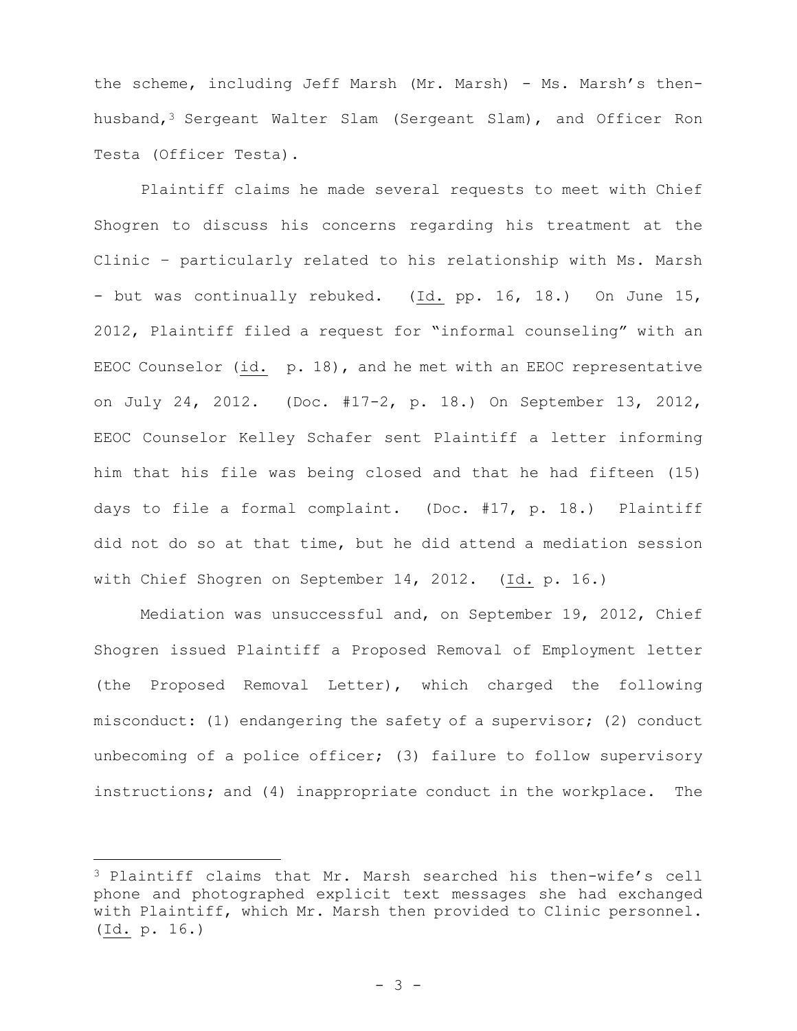the scheme, including Jeff Marsh (Mr. Marsh) - Ms. Marsh's thenhusband,<sup>3</sup> Sergeant Walter Slam (Sergeant Slam), and Officer Ron Testa (Officer Testa).

Plaintiff claims he made several requests to meet with Chief Shogren to discuss his concerns regarding his treatment at the Clinic – particularly related to his relationship with Ms. Marsh - but was continually rebuked. (Id. pp. 16, 18.) On June 15, 2012, Plaintiff filed a request for "informal counseling" with an EEOC Counselor (id. p. 18), and he met with an EEOC representative on July 24, 2012. (Doc. #17-2, p. 18.) On September 13, 2012, EEOC Counselor Kelley Schafer sent Plaintiff a letter informing him that his file was being closed and that he had fifteen (15) days to file a formal complaint. (Doc. #17, p. 18.) Plaintiff did not do so at that time, but he did attend a mediation session with Chief Shogren on September 14, 2012. (Id. p. 16.)

Mediation was unsuccessful and, on September 19, 2012, Chief Shogren issued Plaintiff a Proposed Removal of Employment letter (the Proposed Removal Letter), which charged the following misconduct: (1) endangering the safety of a supervisor; (2) conduct unbecoming of a police officer; (3) failure to follow supervisory instructions; and (4) inappropriate conduct in the workplace. The

<sup>3</sup> Plaintiff claims that Mr. Marsh searched his then-wife's cell phone and photographed explicit text messages she had exchanged with Plaintiff, which Mr. Marsh then provided to Clinic personnel. (Id. p. 16.)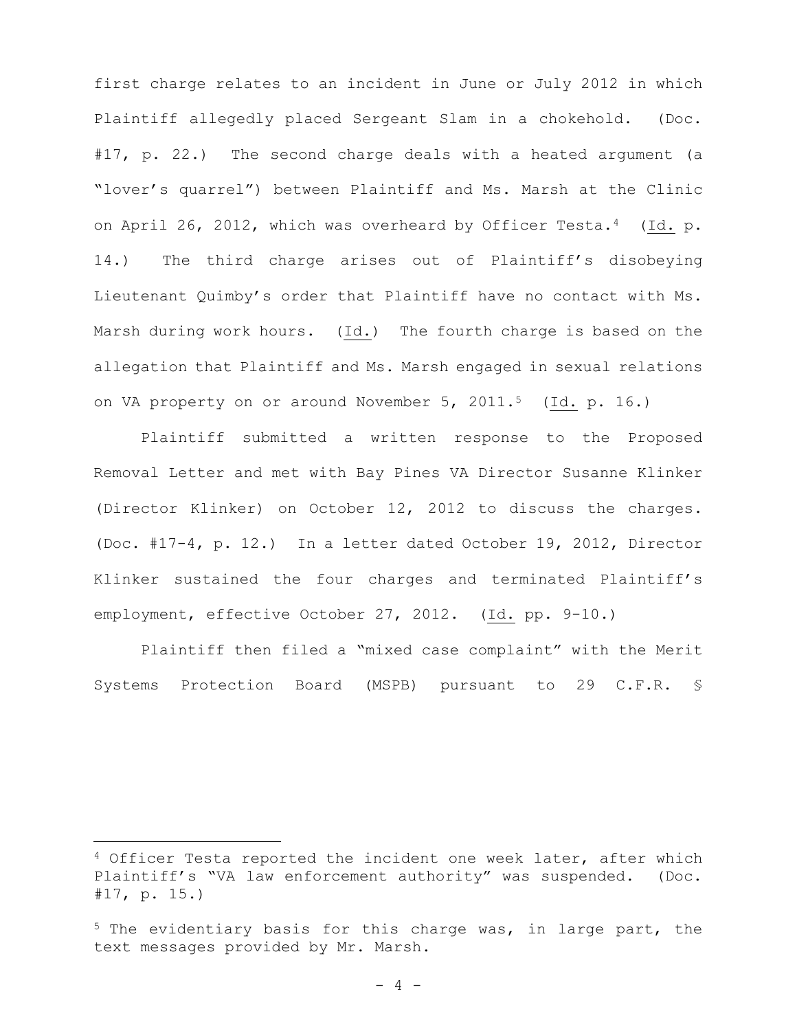first charge relates to an incident in June or July 2012 in which Plaintiff allegedly placed Sergeant Slam in a chokehold. (Doc. #17, p. 22.) The second charge deals with a heated argument (a "lover's quarrel") between Plaintiff and Ms. Marsh at the Clinic on April 26, 2012, which was overheard by Officer Testa.<sup>4</sup> (Id. p. 14.) The third charge arises out of Plaintiff's disobeying Lieutenant Quimby's order that Plaintiff have no contact with Ms. Marsh during work hours. (Id.) The fourth charge is based on the allegation that Plaintiff and Ms. Marsh engaged in sexual relations on VA property on or around November 5, 2011.<sup>5</sup> (Id. p. 16.)

Plaintiff submitted a written response to the Proposed Removal Letter and met with Bay Pines VA Director Susanne Klinker (Director Klinker) on October 12, 2012 to discuss the charges. (Doc. #17-4, p. 12.) In a letter dated October 19, 2012, Director Klinker sustained the four charges and terminated Plaintiff's employment, effective October 27, 2012. (Id. pp. 9-10.)

Plaintiff then filed a "mixed case complaint" with the Merit Systems Protection Board (MSPB) pursuant to 29 C.F.R. §

<sup>&</sup>lt;sup>4</sup> Officer Testa reported the incident one week later, after which Plaintiff's "VA law enforcement authority" was suspended. (Doc. #17, p. 15.)

<sup>5</sup> The evidentiary basis for this charge was, in large part, the text messages provided by Mr. Marsh.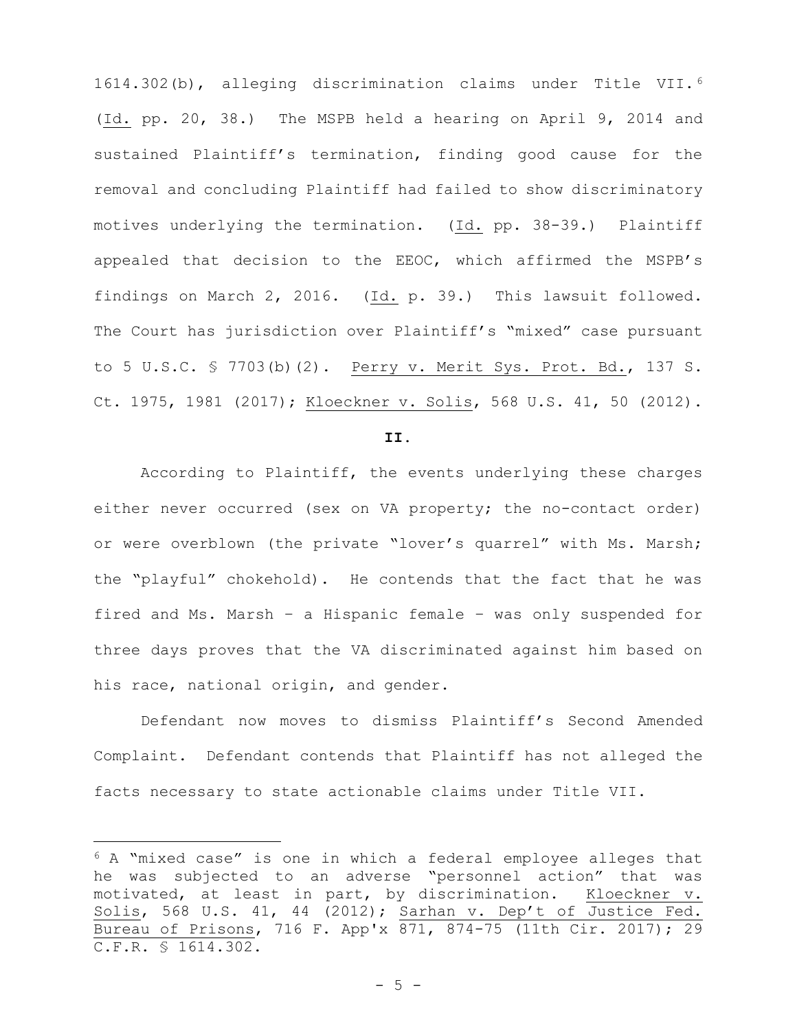1614.302(b), alleging discrimination claims under Title VII. <sup>6</sup> (Id. pp. 20, 38.) The MSPB held a hearing on April 9, 2014 and sustained Plaintiff's termination, finding good cause for the removal and concluding Plaintiff had failed to show discriminatory motives underlying the termination. (Id. pp. 38-39.) Plaintiff appealed that decision to the EEOC, which affirmed the MSPB's findings on March 2, 2016. (Id. p. 39.) This lawsuit followed. The Court has jurisdiction over Plaintiff's "mixed" case pursuant to 5 U.S.C. § 7703(b)(2). Perry v. Merit Sys. Prot. Bd., 137 S. Ct. 1975, 1981 (2017); Kloeckner v. Solis, 568 U.S. 41, 50 (2012).

#### **II.**

According to Plaintiff, the events underlying these charges either never occurred (sex on VA property; the no-contact order) or were overblown (the private "lover's quarrel" with Ms. Marsh; the "playful" chokehold). He contends that the fact that he was fired and Ms. Marsh – a Hispanic female – was only suspended for three days proves that the VA discriminated against him based on his race, national origin, and gender.

Defendant now moves to dismiss Plaintiff's Second Amended Complaint. Defendant contends that Plaintiff has not alleged the facts necessary to state actionable claims under Title VII.

<sup>6</sup> A "mixed case" is one in which a federal employee alleges that he was subjected to an adverse "personnel action" that was<br>motivated, at least in part, by discrimination. Kloeckner v. motivated, at least in part, by discrimination. Solis, 568 U.S. 41, 44 (2012); Sarhan v. Dep't of Justice Fed. Bureau of Prisons, 716 F. App'x 871, 874-75 (11th Cir. 2017); 29 C.F.R. § 1614.302.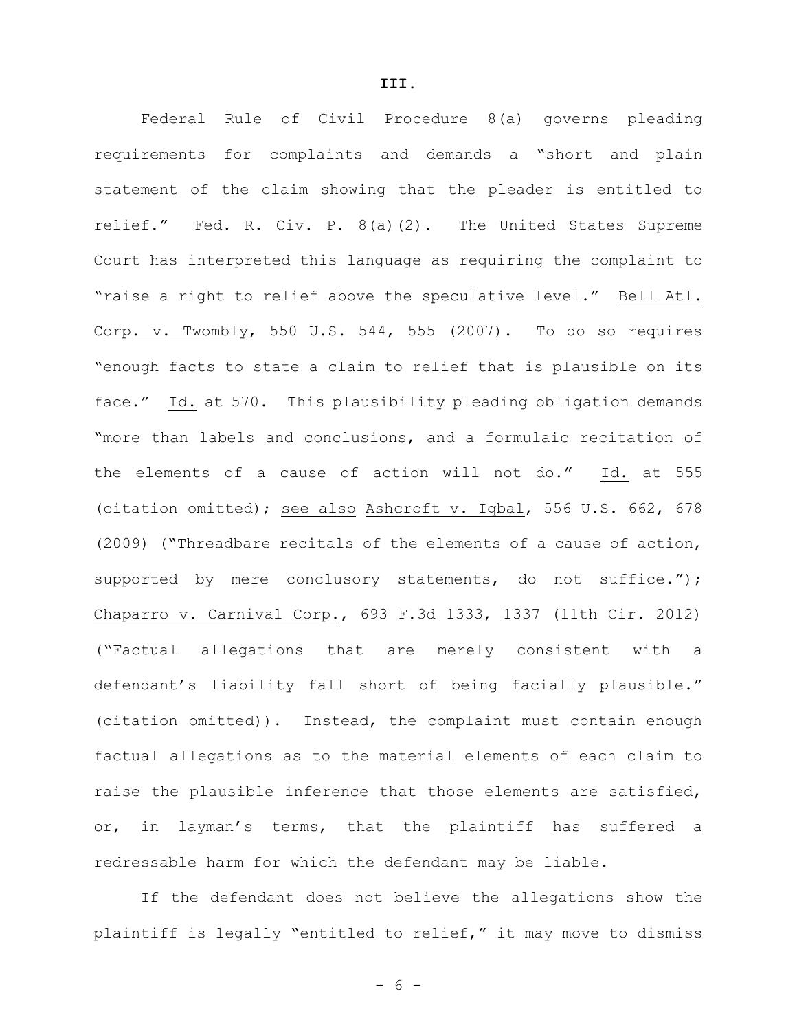Federal Rule of Civil Procedure 8(a) governs pleading requirements for complaints and demands a "short and plain statement of the claim showing that the pleader is entitled to relief." Fed. R. Civ. P. 8(a)(2). The United States Supreme Court has interpreted this language as requiring the complaint to "raise a right to relief above the speculative level." Bell Atl. Corp. v. Twombly, 550 U.S. 544, 555 (2007). To do so requires "enough facts to state a claim to relief that is plausible on its face." Id. at 570. This plausibility pleading obligation demands "more than labels and conclusions, and a formulaic recitation of the elements of a cause of action will not do." Id. at 555 (citation omitted); see also Ashcroft v. Iqbal, 556 U.S. 662, 678 (2009) ("Threadbare recitals of the elements of a cause of action, supported by mere conclusory statements, do not suffice."); Chaparro v. Carnival Corp., 693 F.3d 1333, 1337 (11th Cir. 2012) ("Factual allegations that are merely consistent with a defendant's liability fall short of being facially plausible." (citation omitted)). Instead, the complaint must contain enough factual allegations as to the material elements of each claim to raise the plausible inference that those elements are satisfied, or, in layman's terms, that the plaintiff has suffered a redressable harm for which the defendant may be liable.

If the defendant does not believe the allegations show the plaintiff is legally "entitled to relief," it may move to dismiss

**III.**

- 6 -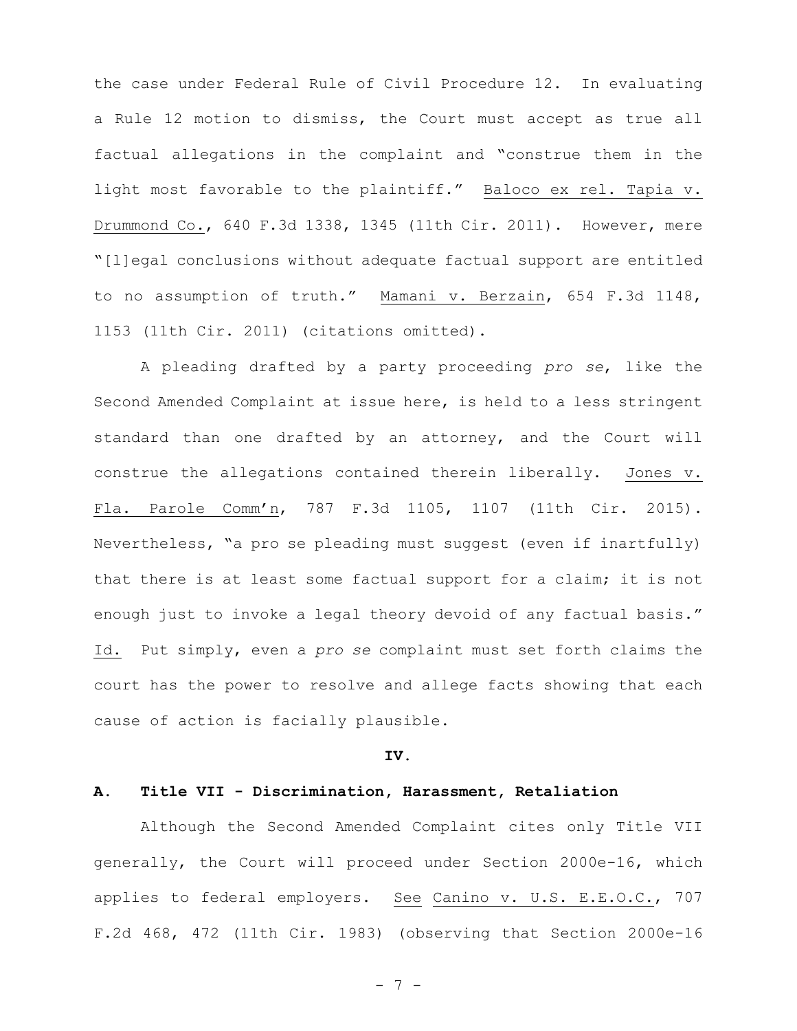the case under Federal Rule of Civil Procedure 12. In evaluating a Rule 12 motion to dismiss, the Court must accept as true all factual allegations in the complaint and "construe them in the light most favorable to the plaintiff." Baloco ex rel. Tapia v. Drummond Co., 640 F.3d 1338, 1345 (11th Cir. 2011). However, mere "[l]egal conclusions without adequate factual support are entitled to no assumption of truth." Mamani v. Berzain, 654 F.3d 1148, 1153 (11th Cir. 2011) (citations omitted).

A pleading drafted by a party proceeding *pro se*, like the Second Amended Complaint at issue here, is held to a less stringent standard than one drafted by an attorney, and the Court will construe the allegations contained therein liberally. Jones v. Fla. Parole Comm'n, 787 F.3d 1105, 1107 (11th Cir. 2015). Nevertheless, "a pro se pleading must suggest (even if inartfully) that there is at least some factual support for a claim; it is not enough just to invoke a legal theory devoid of any factual basis." Id. Put simply, even a *pro se* complaint must set forth claims the court has the power to resolve and allege facts showing that each cause of action is facially plausible.

#### **IV.**

#### **A. Title VII - Discrimination, Harassment, Retaliation**

Although the Second Amended Complaint cites only Title VII generally, the Court will proceed under Section 2000e-16, which applies to federal employers. See Canino v. U.S. E.E.O.C., 707 F.2d 468, 472 (11th Cir. 1983) (observing that Section 2000e-16

- 7 -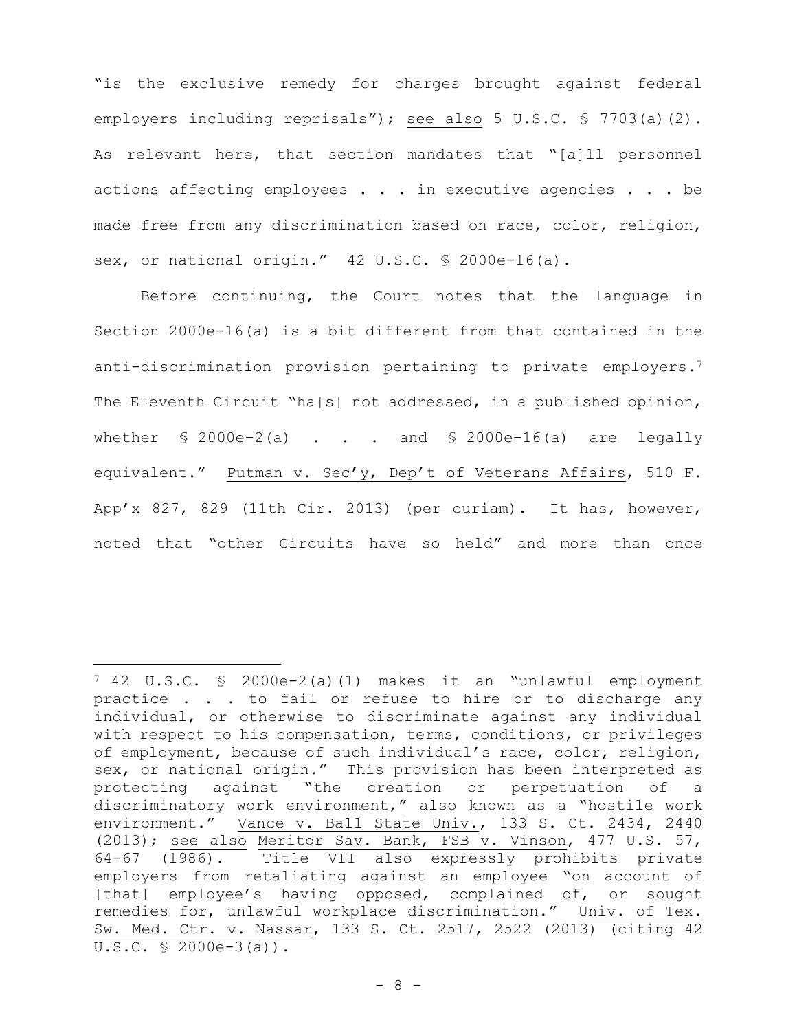"is the exclusive remedy for charges brought against federal employers including reprisals"); see also 5 U.S.C. § 7703(a)(2). As relevant here, that section mandates that "[a]ll personnel actions affecting employees . . . in executive agencies . . . be made free from any discrimination based on race, color, religion, sex, or national origin." 42 U.S.C. § 2000e-16(a).

Before continuing, the Court notes that the language in Section 2000e-16(a) is a bit different from that contained in the anti-discrimination provision pertaining to private employers.<sup>7</sup> The Eleventh Circuit "ha[s] not addressed, in a published opinion, whether  $\frac{1}{2}$  2000e-2(a) . . . and  $\frac{1}{2}$  2000e-16(a) are legally equivalent." Putman v. Sec'y, Dep't of Veterans Affairs, 510 F. App'x 827, 829 (11th Cir. 2013) (per curiam). It has, however, noted that "other Circuits have so held" and more than once

÷,

<sup>7</sup> 42 U.S.C. § 2000e-2(a)(1) makes it an "unlawful employment practice . . . to fail or refuse to hire or to discharge any individual, or otherwise to discriminate against any individual with respect to his compensation, terms, conditions, or privileges of employment, because of such individual's race, color, religion, sex, or national origin." This provision has been interpreted as<br>protecting against "the creation or perpetuation of a against "the creation or perpetuation of a discriminatory work environment," also known as a "hostile work environment." Vance v. Ball State Univ., 133 S. Ct. 2434, 2440 (2013); see also Meritor Sav. Bank, FSB v. Vinson, 477 U.S. 57, 64-67 (1986). Title VII also expressly prohibits private employers from retaliating against an employee "on account of [that] employee's having opposed, complained of, or sought remedies for, unlawful workplace discrimination." Univ. of Tex. Sw. Med. Ctr. v. Nassar, 133 S. Ct. 2517, 2522 (2013) (citing 42 U.S.C. § 2000e-3(a)).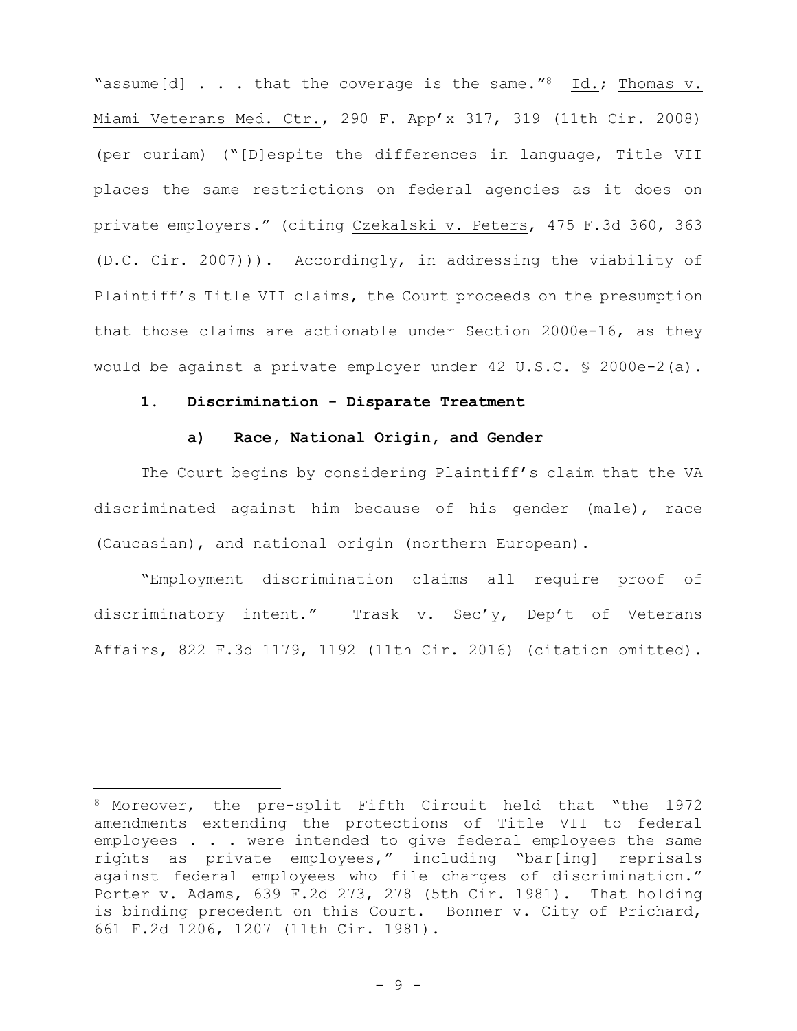"assume[d]  $\ldots$  that the coverage is the same." Id.; Thomas v. Miami Veterans Med. Ctr., 290 F. App'x 317, 319 (11th Cir. 2008) (per curiam) ("[D]espite the differences in language, Title VII places the same restrictions on federal agencies as it does on private employers." (citing Czekalski v. Peters, 475 F.3d 360, 363 (D.C. Cir. 2007))). Accordingly, in addressing the viability of Plaintiff's Title VII claims, the Court proceeds on the presumption that those claims are actionable under Section 2000e-16, as they would be against a private employer under 42 U.S.C. § 2000e-2(a).

### **1. Discrimination - Disparate Treatment**

i<br>Li

# **a) Race, National Origin, and Gender**

The Court begins by considering Plaintiff's claim that the VA discriminated against him because of his gender (male), race (Caucasian), and national origin (northern European).

"Employment discrimination claims all require proof of discriminatory intent." Trask v. Sec'y, Dep't of Veterans Affairs, 822 F.3d 1179, 1192 (11th Cir. 2016) (citation omitted).

<sup>8</sup> Moreover, the pre-split Fifth Circuit held that "the 1972 amendments extending the protections of Title VII to federal employees . . . were intended to give federal employees the same rights as private employees," including "bar[ing] reprisals against federal employees who file charges of discrimination." Porter v. Adams, 639 F.2d 273, 278 (5th Cir. 1981). That holding is binding precedent on this Court. Bonner v. City of Prichard, 661 F.2d 1206, 1207 (11th Cir. 1981).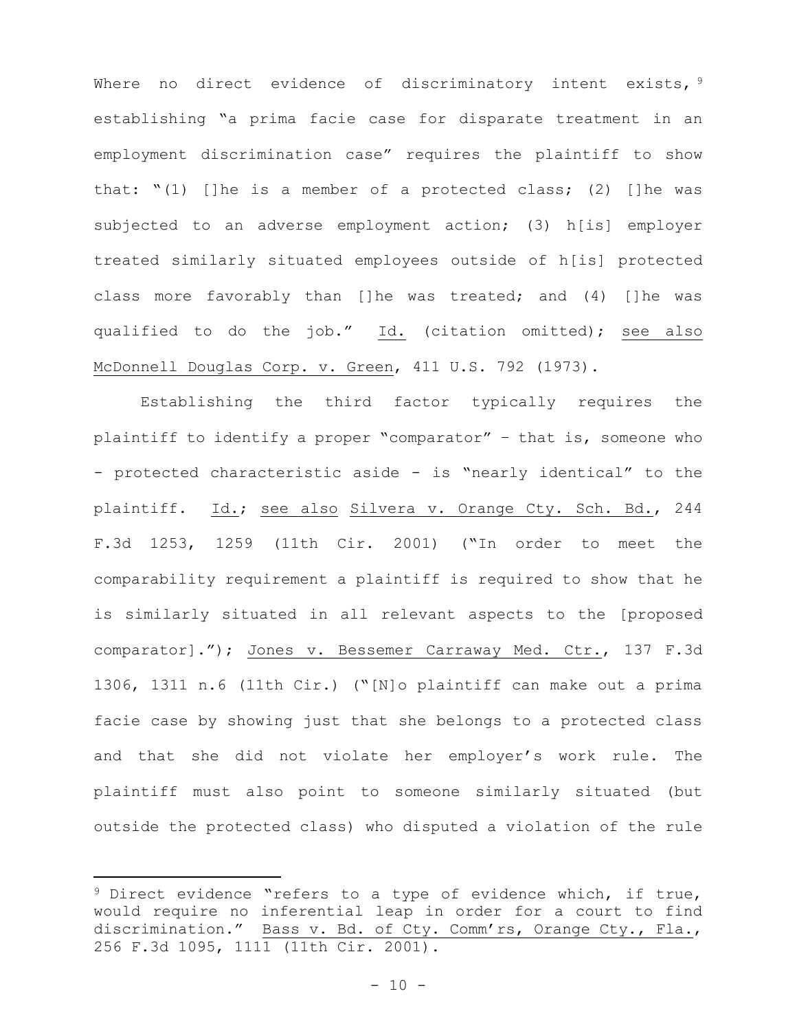Where no direct evidence of discriminatory intent exists, 9 establishing "a prima facie case for disparate treatment in an employment discrimination case" requires the plaintiff to show that: "(1) []he is a member of a protected class; (2) []he was subjected to an adverse employment action; (3) h[is] employer treated similarly situated employees outside of h[is] protected class more favorably than []he was treated; and (4) []he was qualified to do the job." Id. (citation omitted); see also McDonnell Douglas Corp. v. Green, 411 U.S. 792 (1973).

Establishing the third factor typically requires the plaintiff to identify a proper "comparator" – that is, someone who - protected characteristic aside - is "nearly identical" to the plaintiff. Id.; see also Silvera v. Orange Cty. Sch. Bd., 244 F.3d 1253, 1259 (11th Cir. 2001) ("In order to meet the comparability requirement a plaintiff is required to show that he is similarly situated in all relevant aspects to the [proposed comparator]."); Jones v. Bessemer Carraway Med. Ctr., 137 F.3d 1306, 1311 n.6 (11th Cir.) ("[N]o plaintiff can make out a prima facie case by showing just that she belongs to a protected class and that she did not violate her employer's work rule. The plaintiff must also point to someone similarly situated (but outside the protected class) who disputed a violation of the rule

<sup>&</sup>lt;sup>9</sup> Direct evidence "refers to a type of evidence which, if true, would require no inferential leap in order for a court to find discrimination." Bass v. Bd. of Cty. Comm'rs, Orange Cty., Fla., 256 F.3d 1095, 1111 (11th Cir. 2001).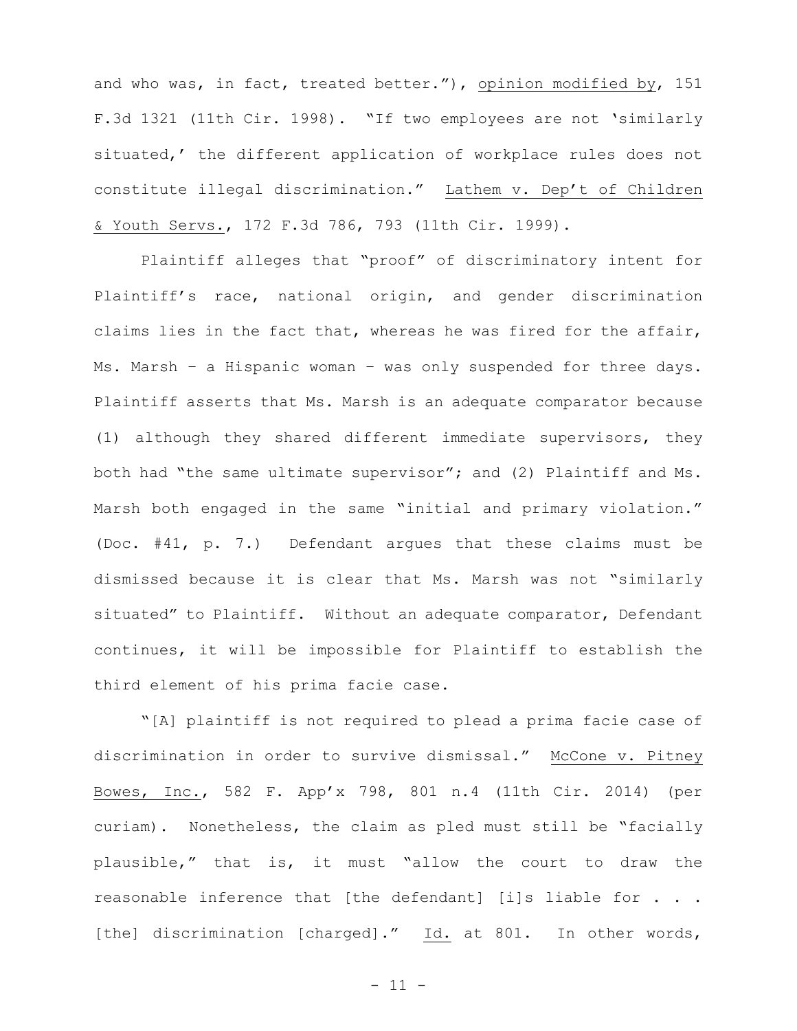and who was, in fact, treated better."), opinion modified by, 151 F.3d 1321 (11th Cir. 1998). "If two employees are not 'similarly situated,' the different application of workplace rules does not constitute illegal discrimination." Lathem v. Dep't of Children & Youth Servs., 172 F.3d 786, 793 (11th Cir. 1999).

Plaintiff alleges that "proof" of discriminatory intent for Plaintiff's race, national origin, and gender discrimination claims lies in the fact that, whereas he was fired for the affair, Ms. Marsh – a Hispanic woman – was only suspended for three days. Plaintiff asserts that Ms. Marsh is an adequate comparator because (1) although they shared different immediate supervisors, they both had "the same ultimate supervisor"; and (2) Plaintiff and Ms. Marsh both engaged in the same "initial and primary violation." (Doc. #41, p. 7.) Defendant argues that these claims must be dismissed because it is clear that Ms. Marsh was not "similarly situated" to Plaintiff. Without an adequate comparator, Defendant continues, it will be impossible for Plaintiff to establish the third element of his prima facie case.

"[A] plaintiff is not required to plead a prima facie case of discrimination in order to survive dismissal." McCone v. Pitney Bowes, Inc., 582 F. App'x 798, 801 n.4 (11th Cir. 2014) (per curiam). Nonetheless, the claim as pled must still be "facially plausible," that is, it must "allow the court to draw the reasonable inference that [the defendant] [i]s liable for . . . [the] discrimination [charged]." Id. at 801. In other words,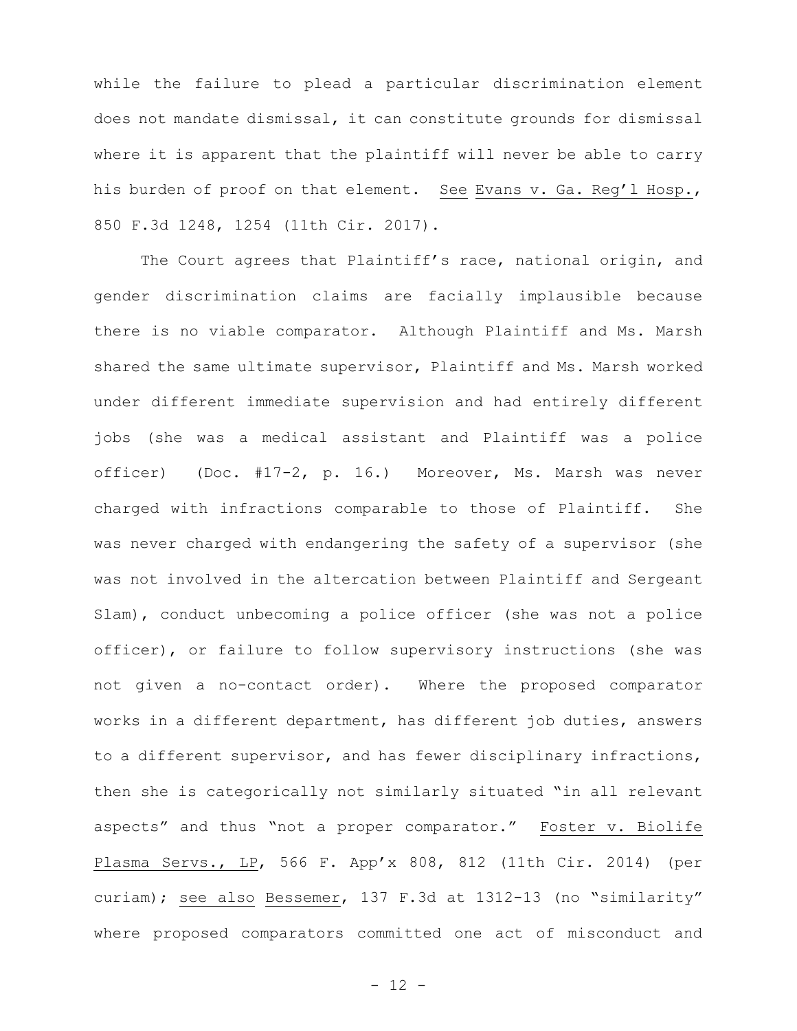while the failure to plead a particular discrimination element does not mandate dismissal, it can constitute grounds for dismissal where it is apparent that the plaintiff will never be able to carry his burden of proof on that element. See Evans v. Ga. Reg'l Hosp., 850 F.3d 1248, 1254 (11th Cir. 2017).

The Court agrees that Plaintiff's race, national origin, and gender discrimination claims are facially implausible because there is no viable comparator. Although Plaintiff and Ms. Marsh shared the same ultimate supervisor, Plaintiff and Ms. Marsh worked under different immediate supervision and had entirely different jobs (she was a medical assistant and Plaintiff was a police officer) (Doc. #17-2, p. 16.) Moreover, Ms. Marsh was never charged with infractions comparable to those of Plaintiff. She was never charged with endangering the safety of a supervisor (she was not involved in the altercation between Plaintiff and Sergeant Slam), conduct unbecoming a police officer (she was not a police officer), or failure to follow supervisory instructions (she was not given a no-contact order). Where the proposed comparator works in a different department, has different job duties, answers to a different supervisor, and has fewer disciplinary infractions, then she is categorically not similarly situated "in all relevant aspects" and thus "not a proper comparator." Foster v. Biolife Plasma Servs., LP, 566 F. App'x 808, 812 (11th Cir. 2014) (per curiam); see also Bessemer, 137 F.3d at 1312-13 (no "similarity" where proposed comparators committed one act of misconduct and

- 12 -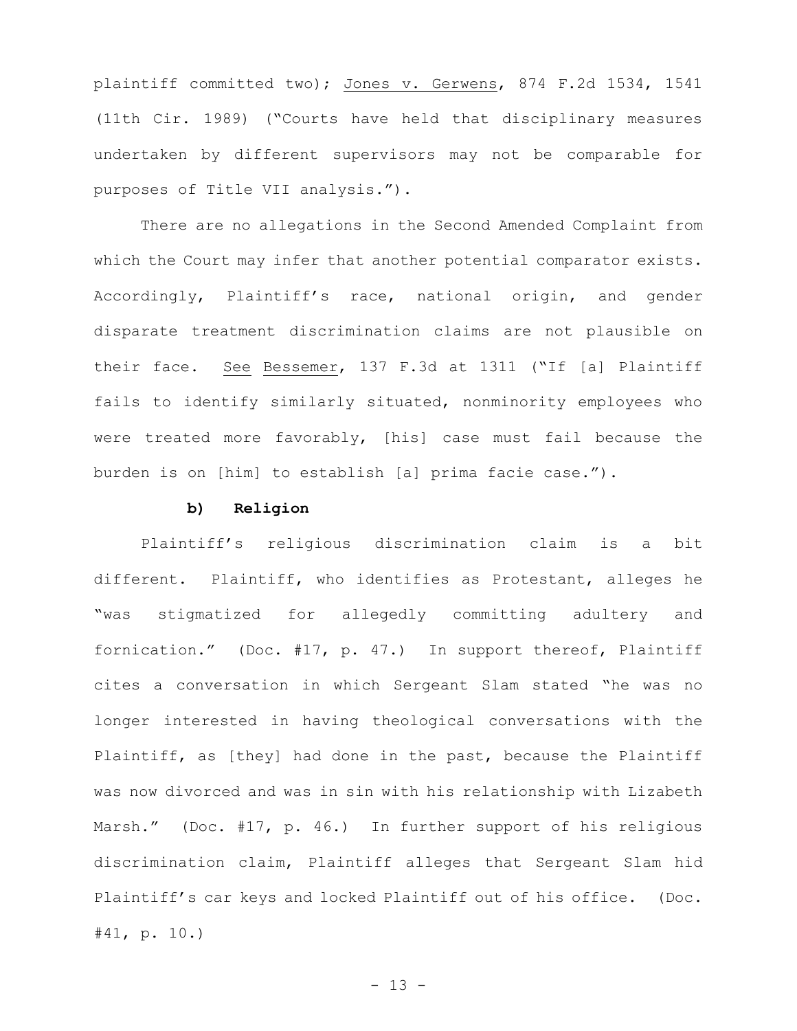plaintiff committed two); Jones v. Gerwens, 874 F.2d 1534, 1541 (11th Cir. 1989) ("Courts have held that disciplinary measures undertaken by different supervisors may not be comparable for purposes of Title VII analysis.").

There are no allegations in the Second Amended Complaint from which the Court may infer that another potential comparator exists. Accordingly, Plaintiff's race, national origin, and gender disparate treatment discrimination claims are not plausible on their face. See Bessemer, 137 F.3d at 1311 ("If [a] Plaintiff fails to identify similarly situated, nonminority employees who were treated more favorably, [his] case must fail because the burden is on [him] to establish [a] prima facie case.").

### **b) Religion**

Plaintiff's religious discrimination claim is a bit different. Plaintiff, who identifies as Protestant, alleges he "was stigmatized for allegedly committing adultery and fornication." (Doc. #17, p. 47.) In support thereof, Plaintiff cites a conversation in which Sergeant Slam stated "he was no longer interested in having theological conversations with the Plaintiff, as [they] had done in the past, because the Plaintiff was now divorced and was in sin with his relationship with Lizabeth Marsh." (Doc. #17, p. 46.) In further support of his religious discrimination claim, Plaintiff alleges that Sergeant Slam hid Plaintiff's car keys and locked Plaintiff out of his office. (Doc. #41, p. 10.)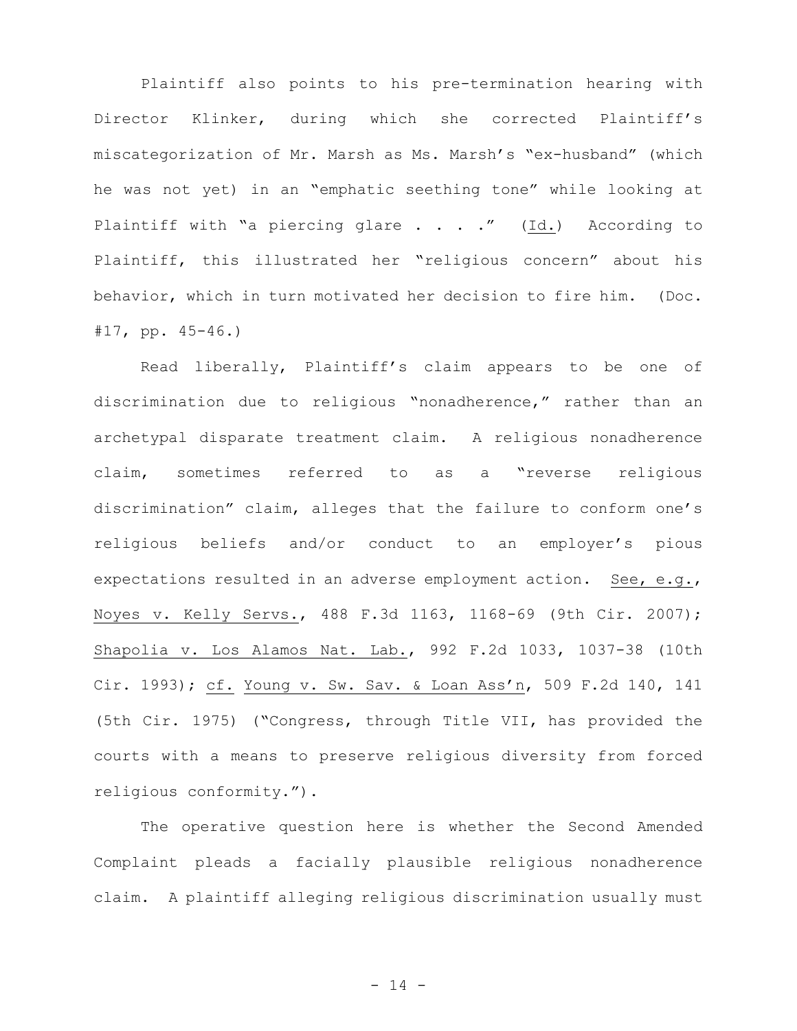Plaintiff also points to his pre-termination hearing with Director Klinker, during which she corrected Plaintiff's miscategorization of Mr. Marsh as Ms. Marsh's "ex-husband" (which he was not yet) in an "emphatic seething tone" while looking at Plaintiff with "a piercing glare . . . ." (Id.) According to Plaintiff, this illustrated her "religious concern" about his behavior, which in turn motivated her decision to fire him. (Doc. #17, pp. 45-46.)

Read liberally, Plaintiff's claim appears to be one of discrimination due to religious "nonadherence," rather than an archetypal disparate treatment claim. A religious nonadherence claim, sometimes referred to as a "reverse religious discrimination" claim, alleges that the failure to conform one's religious beliefs and/or conduct to an employer's pious expectations resulted in an adverse employment action. See, e.g., Noyes v. Kelly Servs., 488 F.3d 1163, 1168-69 (9th Cir. 2007); Shapolia v. Los Alamos Nat. Lab., 992 F.2d 1033, 1037-38 (10th Cir. 1993); cf. Young v. Sw. Sav. & Loan Ass'n, 509 F.2d 140, 141 (5th Cir. 1975) ("Congress, through Title VII, has provided the courts with a means to preserve religious diversity from forced religious conformity.").

The operative question here is whether the Second Amended Complaint pleads a facially plausible religious nonadherence claim. A plaintiff alleging religious discrimination usually must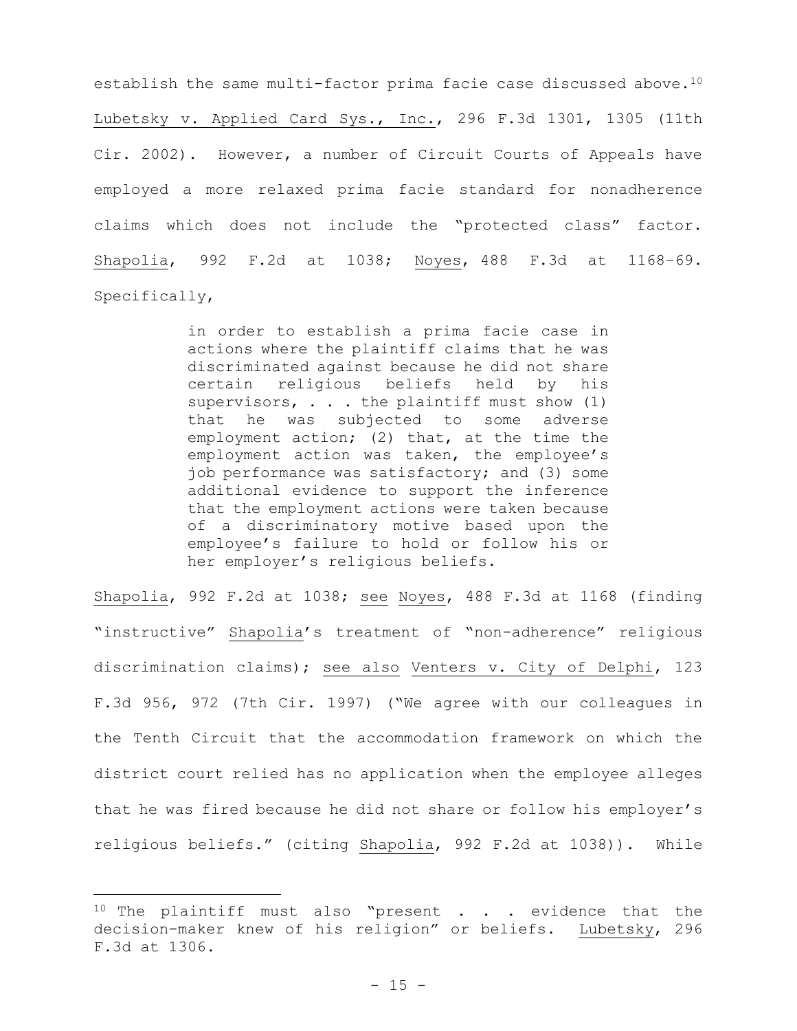establish the same multi-factor prima facie case discussed above.<sup>10</sup> Lubetsky v. Applied Card Sys., Inc., 296 F.3d 1301, 1305 (11th Cir. 2002). However, a number of Circuit Courts of Appeals have employed a more relaxed prima facie standard for nonadherence claims which does not include the "protected class" factor. Shapolia, 992 F.2d at 1038; Noyes, 488 F.3d at 1168–69. Specifically,

> in order to establish a prima facie case in actions where the plaintiff claims that he was discriminated against because he did not share certain religious beliefs held by his supervisors,  $\ldots$  the plaintiff must show (1) that he was subjected to some adverse employment action; (2) that, at the time the employment action was taken, the employee's job performance was satisfactory; and (3) some additional evidence to support the inference that the employment actions were taken because of a discriminatory motive based upon the employee's failure to hold or follow his or her employer's religious beliefs.

Shapolia, 992 F.2d at 1038; see Noyes, 488 F.3d at 1168 (finding "instructive" Shapolia's treatment of "non-adherence" religious discrimination claims); see also Venters v. City of Delphi, 123 F.3d 956, 972 (7th Cir. 1997) ("We agree with our colleagues in the Tenth Circuit that the accommodation framework on which the district court relied has no application when the employee alleges that he was fired because he did not share or follow his employer's religious beliefs." (citing Shapolia, 992 F.2d at 1038)). While

 $10$  The plaintiff must also "present . . . evidence that the decision-maker knew of his religion" or beliefs. Lubetsky, 296 F.3d at 1306.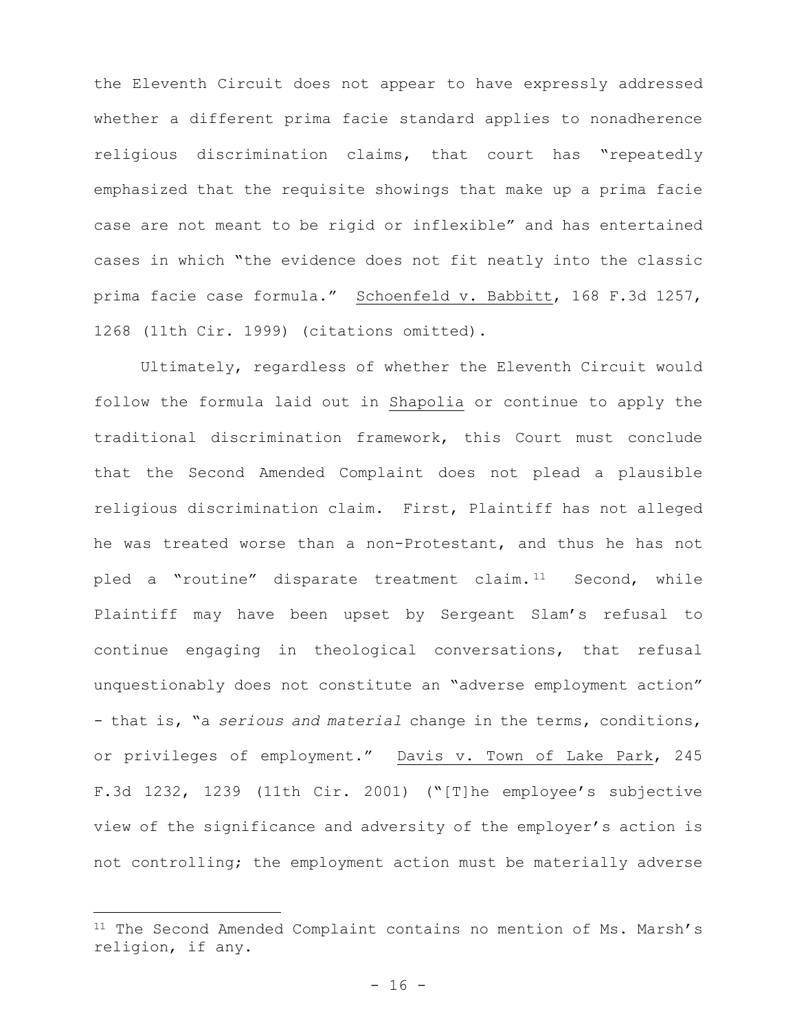the Eleventh Circuit does not appear to have expressly addressed whether a different prima facie standard applies to nonadherence religious discrimination claims, that court has "repeatedly emphasized that the requisite showings that make up a prima facie case are not meant to be rigid or inflexible" and has entertained cases in which "the evidence does not fit neatly into the classic prima facie case formula." Schoenfeld v. Babbitt, 168 F.3d 1257, 1268 (11th Cir. 1999) (citations omitted).

Ultimately, regardless of whether the Eleventh Circuit would follow the formula laid out in Shapolia or continue to apply the traditional discrimination framework, this Court must conclude that the Second Amended Complaint does not plead a plausible religious discrimination claim. First, Plaintiff has not alleged he was treated worse than a non-Protestant, and thus he has not pled a "routine" disparate treatment claim.<sup>11</sup> Second, while Plaintiff may have been upset by Sergeant Slam's refusal to continue engaging in theological conversations, that refusal unquestionably does not constitute an "adverse employment action" - that is, "a *serious and material* change in the terms, conditions, or privileges of employment." Davis v. Town of Lake Park, 245 F.3d 1232, 1239 (11th Cir. 2001) ("[T]he employee's subjective view of the significance and adversity of the employer's action is not controlling; the employment action must be materially adverse

<sup>&</sup>lt;sup>11</sup> The Second Amended Complaint contains no mention of Ms. Marsh's religion, if any.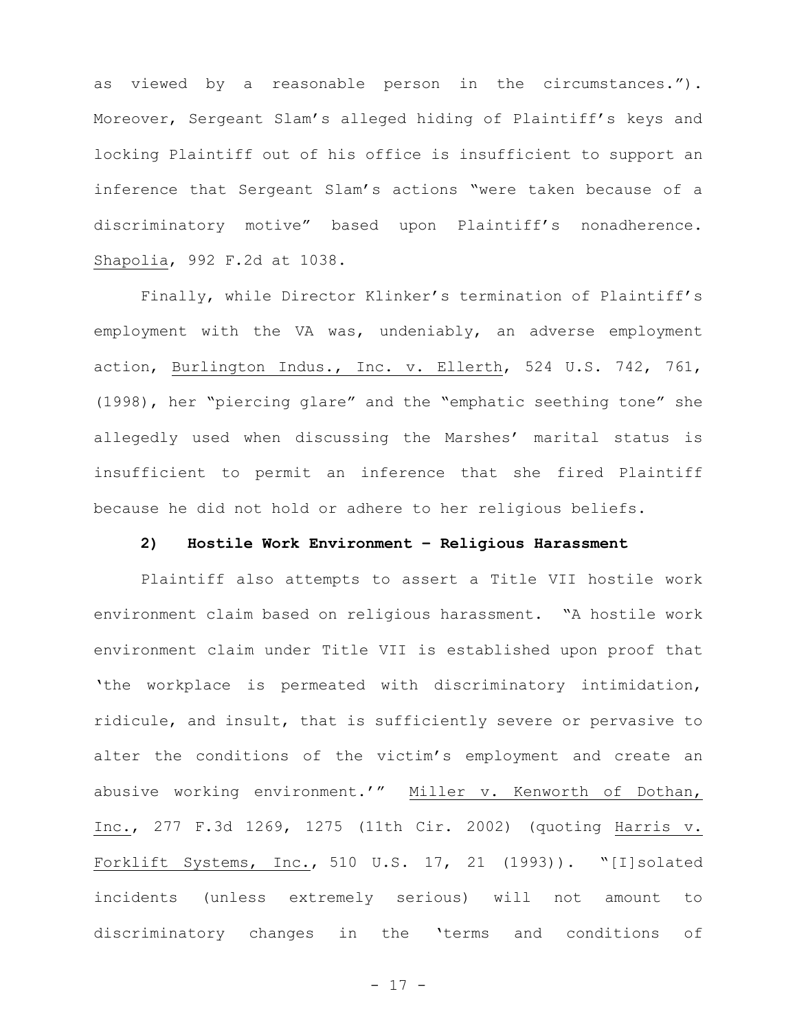as viewed by a reasonable person in the circumstances."). Moreover, Sergeant Slam's alleged hiding of Plaintiff's keys and locking Plaintiff out of his office is insufficient to support an inference that Sergeant Slam's actions "were taken because of a discriminatory motive" based upon Plaintiff's nonadherence. Shapolia, 992 F.2d at 1038.

Finally, while Director Klinker's termination of Plaintiff's employment with the VA was, undeniably, an adverse employment action, Burlington Indus., Inc. v. Ellerth, 524 U.S. 742, 761, (1998), her "piercing glare" and the "emphatic seething tone" she allegedly used when discussing the Marshes' marital status is insufficient to permit an inference that she fired Plaintiff because he did not hold or adhere to her religious beliefs.

# **2) Hostile Work Environment – Religious Harassment**

Plaintiff also attempts to assert a Title VII hostile work environment claim based on religious harassment. "A hostile work environment claim under Title VII is established upon proof that 'the workplace is permeated with discriminatory intimidation, ridicule, and insult, that is sufficiently severe or pervasive to alter the conditions of the victim's employment and create an abusive working environment.'" Miller v. Kenworth of Dothan, Inc., 277 F.3d 1269, 1275 (11th Cir. 2002) (quoting Harris v. Forklift Systems, Inc., 510 U.S. 17, 21 (1993)). "[I]solated incidents (unless extremely serious) will not amount to discriminatory changes in the 'terms and conditions of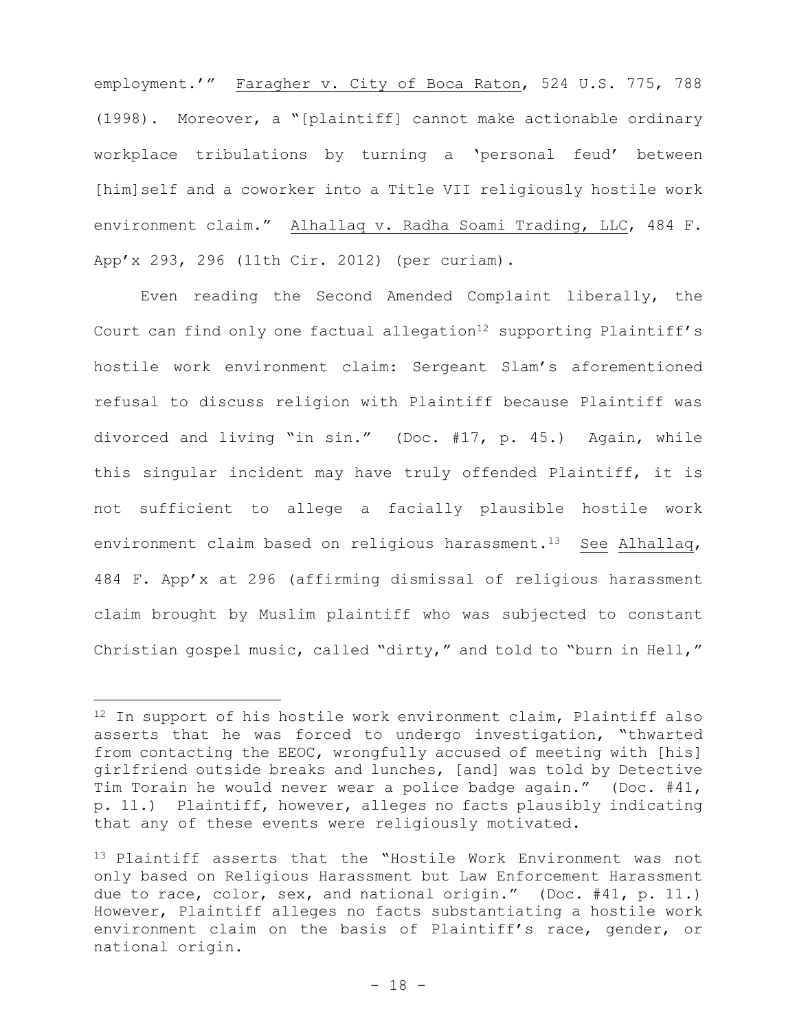employment.'" Faragher v. City of Boca Raton, 524 U.S. 775, 788 (1998). Moreover, a "[plaintiff] cannot make actionable ordinary workplace tribulations by turning a 'personal feud' between [him]self and a coworker into a Title VII religiously hostile work environment claim." Alhallaq v. Radha Soami Trading, LLC, 484 F. App'x 293, 296 (11th Cir. 2012) (per curiam).

Even reading the Second Amended Complaint liberally, the Court can find only one factual allegation<sup>12</sup> supporting Plaintiff's hostile work environment claim: Sergeant Slam's aforementioned refusal to discuss religion with Plaintiff because Plaintiff was divorced and living "in sin." (Doc. #17, p. 45.) Again, while this singular incident may have truly offended Plaintiff, it is not sufficient to allege a facially plausible hostile work environment claim based on religious harassment.<sup>13</sup> See Alhallaq, 484 F. App'x at 296 (affirming dismissal of religious harassment claim brought by Muslim plaintiff who was subjected to constant Christian gospel music, called "dirty," and told to "burn in Hell,"

<sup>12</sup> In support of his hostile work environment claim, Plaintiff also asserts that he was forced to undergo investigation, "thwarted from contacting the EEOC, wrongfully accused of meeting with [his] girlfriend outside breaks and lunches, [and] was told by Detective Tim Torain he would never wear a police badge again." (Doc. #41, p. 11.) Plaintiff, however, alleges no facts plausibly indicating that any of these events were religiously motivated.

<sup>13</sup> Plaintiff asserts that the "Hostile Work Environment was not only based on Religious Harassment but Law Enforcement Harassment due to race, color, sex, and national origin." (Doc. #41, p. 11.) However, Plaintiff alleges no facts substantiating a hostile work environment claim on the basis of Plaintiff's race, gender, or national origin.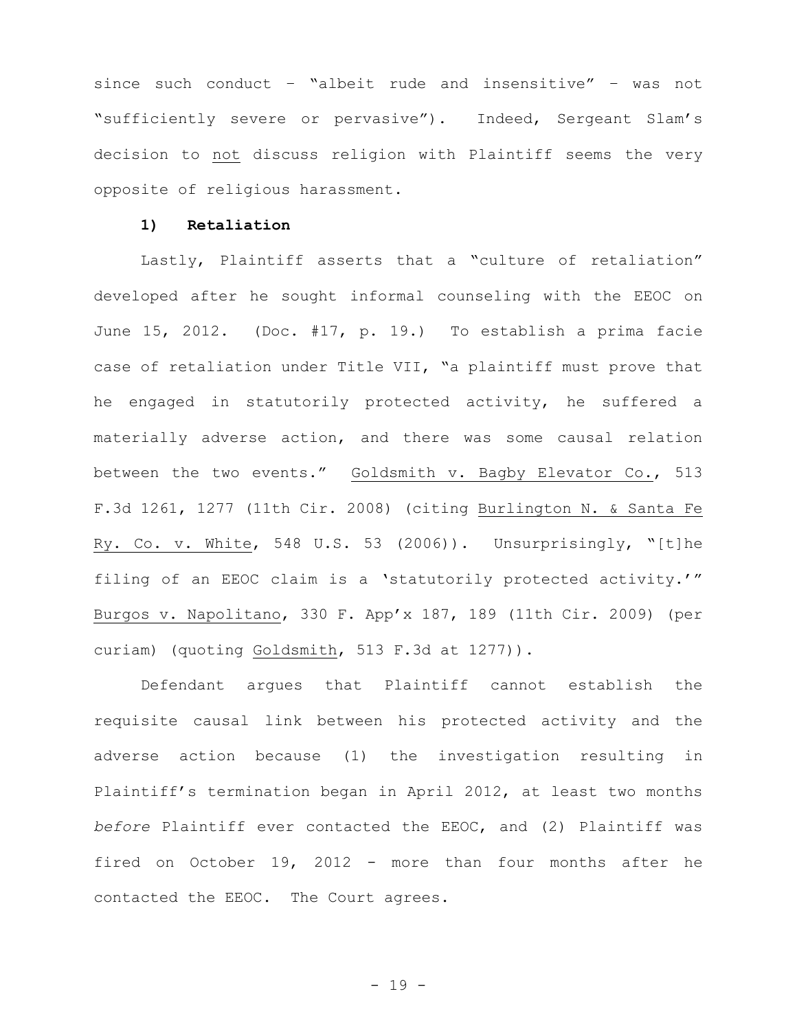since such conduct – "albeit rude and insensitive" – was not "sufficiently severe or pervasive"). Indeed, Sergeant Slam's decision to not discuss religion with Plaintiff seems the very opposite of religious harassment.

## **1) Retaliation**

Lastly, Plaintiff asserts that a "culture of retaliation" developed after he sought informal counseling with the EEOC on June 15, 2012. (Doc. #17, p. 19.) To establish a prima facie case of retaliation under Title VII, "a plaintiff must prove that he engaged in statutorily protected activity, he suffered a materially adverse action, and there was some causal relation between the two events." Goldsmith v. Bagby Elevator Co., 513 F.3d 1261, 1277 (11th Cir. 2008) (citing Burlington N. & Santa Fe Ry. Co. v. White, 548 U.S. 53 (2006)). Unsurprisingly, "[t]he filing of an EEOC claim is a 'statutorily protected activity.'" Burgos v. Napolitano, 330 F. App'x 187, 189 (11th Cir. 2009) (per curiam) (quoting Goldsmith, 513 F.3d at 1277)).

Defendant argues that Plaintiff cannot establish the requisite causal link between his protected activity and the adverse action because (1) the investigation resulting in Plaintiff's termination began in April 2012, at least two months *before* Plaintiff ever contacted the EEOC, and (2) Plaintiff was fired on October 19, 2012 - more than four months after he contacted the EEOC. The Court agrees.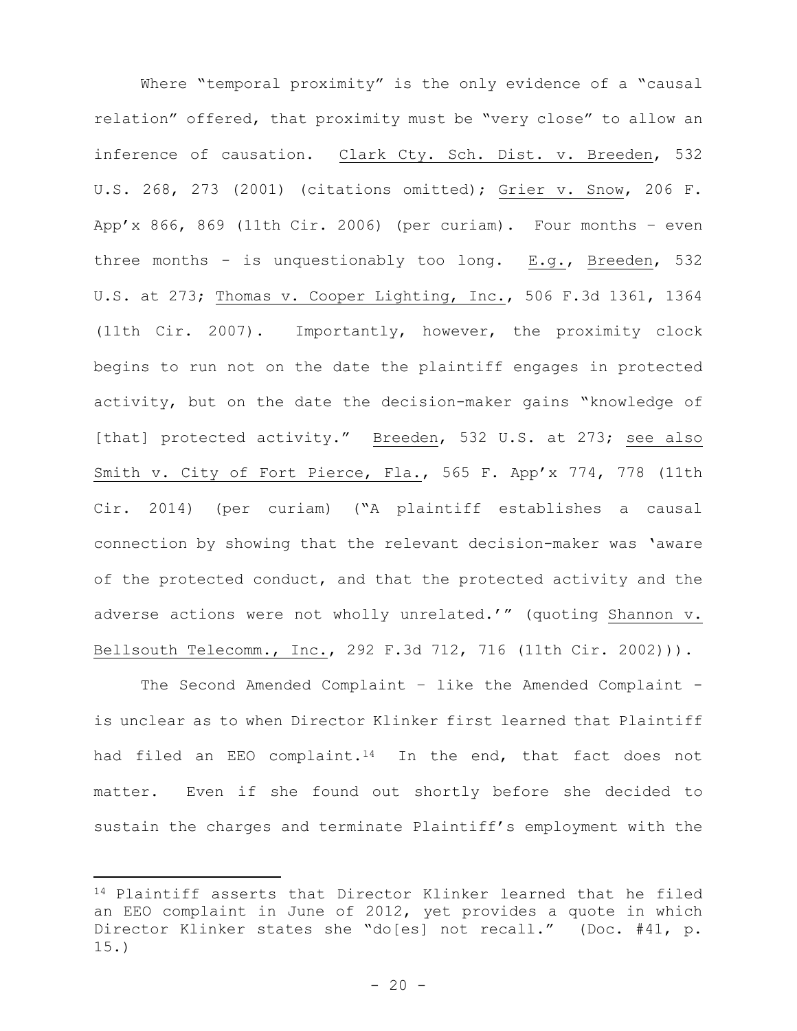Where "temporal proximity" is the only evidence of a "causal relation" offered, that proximity must be "very close" to allow an inference of causation. Clark Cty. Sch. Dist. v. Breeden, 532 U.S. 268, 273 (2001) (citations omitted); Grier v. Snow, 206 F. App'x 866, 869 (11th Cir. 2006) (per curiam). Four months - even three months - is unquestionably too long. E.g., Breeden, 532 U.S. at 273; Thomas v. Cooper Lighting, Inc., 506 F.3d 1361, 1364 (11th Cir. 2007). Importantly, however, the proximity clock begins to run not on the date the plaintiff engages in protected activity, but on the date the decision-maker gains "knowledge of [that] protected activity." Breeden, 532 U.S. at 273; see also Smith v. City of Fort Pierce, Fla., 565 F. App'x 774, 778 (11th Cir. 2014) (per curiam) ("A plaintiff establishes a causal connection by showing that the relevant decision-maker was 'aware of the protected conduct, and that the protected activity and the adverse actions were not wholly unrelated.'" (quoting Shannon v. Bellsouth Telecomm., Inc., 292 F.3d 712, 716 (11th Cir. 2002))).

The Second Amended Complaint - like the Amended Complaint is unclear as to when Director Klinker first learned that Plaintiff had filed an EEO complaint.<sup>14</sup> In the end, that fact does not matter. Even if she found out shortly before she decided to sustain the charges and terminate Plaintiff's employment with the

<sup>14</sup> Plaintiff asserts that Director Klinker learned that he filed an EEO complaint in June of 2012, yet provides a quote in which Director Klinker states she "do[es] not recall." (Doc. #41, p. 15.)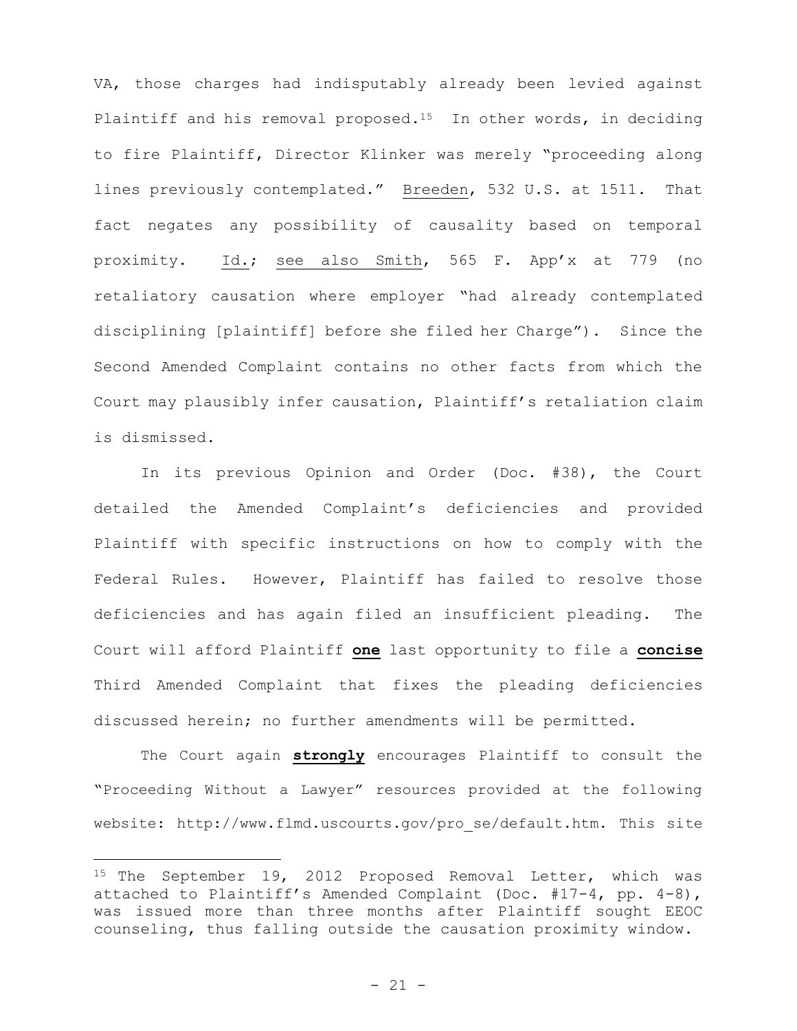VA, those charges had indisputably already been levied against Plaintiff and his removal proposed.<sup>15</sup> In other words, in deciding to fire Plaintiff, Director Klinker was merely "proceeding along lines previously contemplated." Breeden, 532 U.S. at 1511. That fact negates any possibility of causality based on temporal proximity. Id.; see also Smith, 565 F. App'x at 779 (no retaliatory causation where employer "had already contemplated disciplining [plaintiff] before she filed her Charge"). Since the Second Amended Complaint contains no other facts from which the Court may plausibly infer causation, Plaintiff's retaliation claim is dismissed.

 In its previous Opinion and Order (Doc. #38), the Court detailed the Amended Complaint's deficiencies and provided Plaintiff with specific instructions on how to comply with the Federal Rules. However, Plaintiff has failed to resolve those deficiencies and has again filed an insufficient pleading. The Court will afford Plaintiff **one** last opportunity to file a **concise** Third Amended Complaint that fixes the pleading deficiencies discussed herein; no further amendments will be permitted.

The Court again **strongly** encourages Plaintiff to consult the "Proceeding Without a Lawyer" resources provided at the following website: http://www.flmd.uscourts.gov/pro\_se/default.htm. This site

<sup>&</sup>lt;sup>15</sup> The September 19, 2012 Proposed Removal Letter, which was attached to Plaintiff's Amended Complaint (Doc. #17-4, pp. 4-8), was issued more than three months after Plaintiff sought EEOC counseling, thus falling outside the causation proximity window.